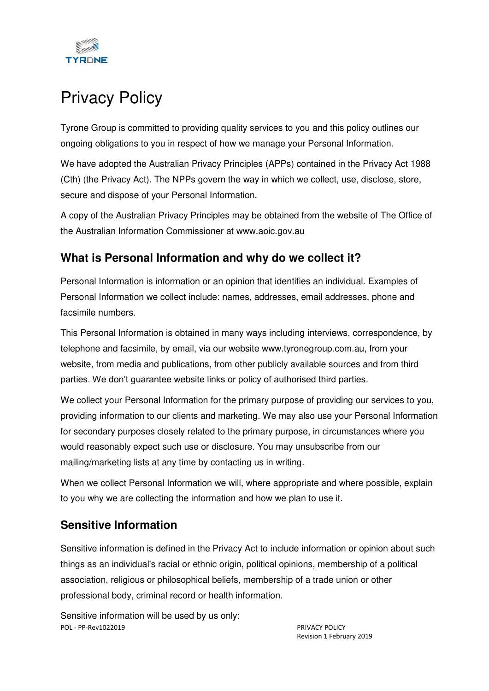

# Privacy Policy

Tyrone Group is committed to providing quality services to you and this policy outlines our ongoing obligations to you in respect of how we manage your Personal Information.

We have adopted the Australian Privacy Principles (APPs) contained in the Privacy Act 1988 (Cth) (the Privacy Act). The NPPs govern the way in which we collect, use, disclose, store, secure and dispose of your Personal Information.

A copy of the Australian Privacy Principles may be obtained from the website of The Office of the Australian Information Commissioner at www.aoic.gov.au

#### **What is Personal Information and why do we collect it?**

Personal Information is information or an opinion that identifies an individual. Examples of Personal Information we collect include: names, addresses, email addresses, phone and facsimile numbers.

This Personal Information is obtained in many ways including interviews, correspondence, by telephone and facsimile, by email, via our website www.tyronegroup.com.au, from your website, from media and publications, from other publicly available sources and from third parties. We don't guarantee website links or policy of authorised third parties.

We collect your Personal Information for the primary purpose of providing our services to you, providing information to our clients and marketing. We may also use your Personal Information for secondary purposes closely related to the primary purpose, in circumstances where you would reasonably expect such use or disclosure. You may unsubscribe from our mailing/marketing lists at any time by contacting us in writing.

When we collect Personal Information we will, where appropriate and where possible, explain to you why we are collecting the information and how we plan to use it.

#### **Sensitive Information**

Sensitive information is defined in the Privacy Act to include information or opinion about such things as an individual's racial or ethnic origin, political opinions, membership of a political association, religious or philosophical beliefs, membership of a trade union or other professional body, criminal record or health information.

POL - PP-Rev1022019 PRIVACY POLICY Sensitive information will be used by us only:

Revision 1 February 2019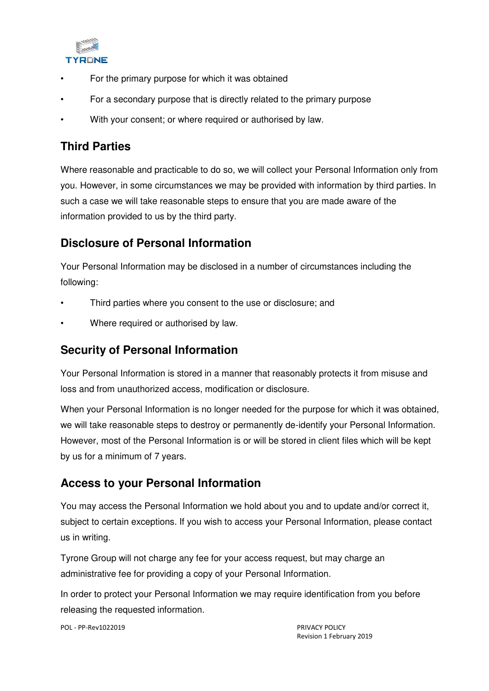

- For the primary purpose for which it was obtained
- For a secondary purpose that is directly related to the primary purpose
- With your consent; or where required or authorised by law.

### **Third Parties**

Where reasonable and practicable to do so, we will collect your Personal Information only from you. However, in some circumstances we may be provided with information by third parties. In such a case we will take reasonable steps to ensure that you are made aware of the information provided to us by the third party.

## **Disclosure of Personal Information**

Your Personal Information may be disclosed in a number of circumstances including the following:

- Third parties where you consent to the use or disclosure; and
- Where required or authorised by law.

#### **Security of Personal Information**

Your Personal Information is stored in a manner that reasonably protects it from misuse and loss and from unauthorized access, modification or disclosure.

When your Personal Information is no longer needed for the purpose for which it was obtained, we will take reasonable steps to destroy or permanently de-identify your Personal Information. However, most of the Personal Information is or will be stored in client files which will be kept by us for a minimum of 7 years.

## **Access to your Personal Information**

You may access the Personal Information we hold about you and to update and/or correct it, subject to certain exceptions. If you wish to access your Personal Information, please contact us in writing.

Tyrone Group will not charge any fee for your access request, but may charge an administrative fee for providing a copy of your Personal Information.

In order to protect your Personal Information we may require identification from you before releasing the requested information.

POL - PP-Rev1022019 PRIVACY POLICY